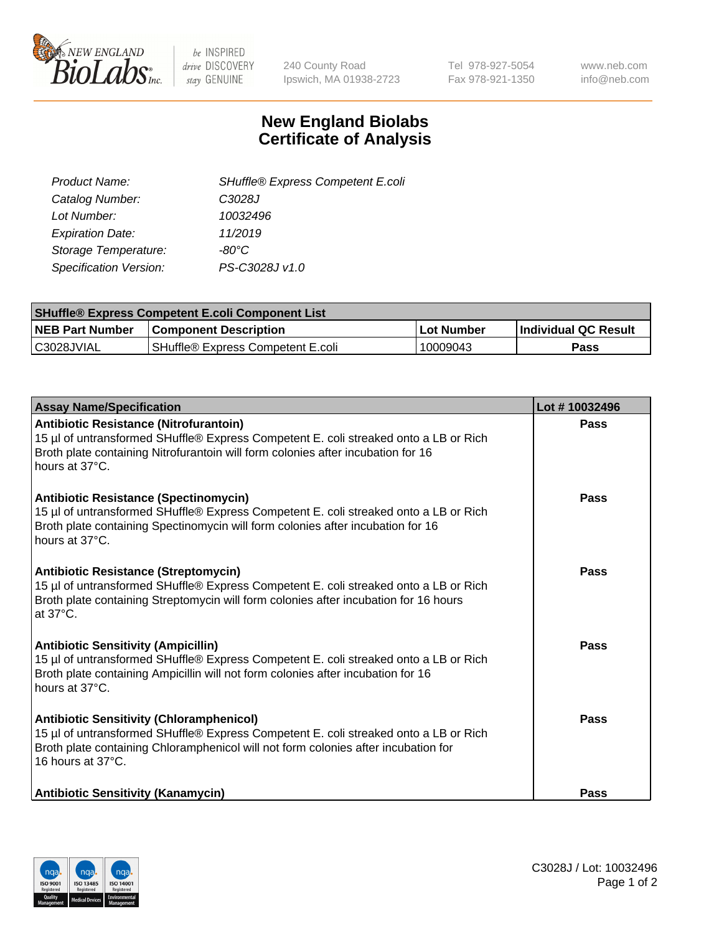

be INSPIRED drive DISCOVERY stay GENUINE

240 County Road Ipswich, MA 01938-2723 Tel 978-927-5054 Fax 978-921-1350 www.neb.com info@neb.com

## **New England Biolabs Certificate of Analysis**

| SHuffle® Express Competent E.coli |
|-----------------------------------|
| C3028J                            |
| 10032496                          |
| 11/2019                           |
| -80°C                             |
| PS-C3028J v1.0                    |
|                                   |

| <b>SHuffle® Express Competent E.coli Component List</b> |                                   |                   |                             |  |
|---------------------------------------------------------|-----------------------------------|-------------------|-----------------------------|--|
| <b>NEB Part Number</b>                                  | <b>Component Description</b>      | <b>Lot Number</b> | <b>Individual QC Result</b> |  |
| C3028JVIAL                                              | SHuffle® Express Competent E.coli | 10009043          | Pass                        |  |

| <b>Assay Name/Specification</b>                                                                                                                                                                                                                    | Lot #10032496 |
|----------------------------------------------------------------------------------------------------------------------------------------------------------------------------------------------------------------------------------------------------|---------------|
| Antibiotic Resistance (Nitrofurantoin)<br>15 µl of untransformed SHuffle® Express Competent E. coli streaked onto a LB or Rich<br>Broth plate containing Nitrofurantoin will form colonies after incubation for 16<br>hours at 37°C.               | <b>Pass</b>   |
| <b>Antibiotic Resistance (Spectinomycin)</b><br>15 µl of untransformed SHuffle® Express Competent E. coli streaked onto a LB or Rich<br>Broth plate containing Spectinomycin will form colonies after incubation for 16<br>hours at 37°C.          | Pass          |
| <b>Antibiotic Resistance (Streptomycin)</b><br>15 µl of untransformed SHuffle® Express Competent E. coli streaked onto a LB or Rich<br>Broth plate containing Streptomycin will form colonies after incubation for 16 hours<br>at 37°C.            | Pass          |
| <b>Antibiotic Sensitivity (Ampicillin)</b><br>15 µl of untransformed SHuffle® Express Competent E. coli streaked onto a LB or Rich<br>Broth plate containing Ampicillin will not form colonies after incubation for 16<br>hours at 37°C.           | Pass          |
| <b>Antibiotic Sensitivity (Chloramphenicol)</b><br>15 µl of untransformed SHuffle® Express Competent E. coli streaked onto a LB or Rich<br>Broth plate containing Chloramphenicol will not form colonies after incubation for<br>16 hours at 37°C. | Pass          |
| <b>Antibiotic Sensitivity (Kanamycin)</b>                                                                                                                                                                                                          | Pass          |